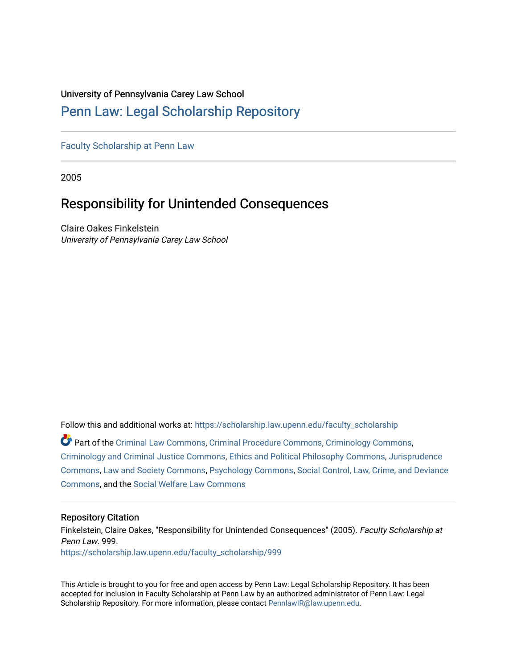### University of Pennsylvania Carey Law School

## [Penn Law: Legal Scholarship Repository](https://scholarship.law.upenn.edu/)

[Faculty Scholarship at Penn Law](https://scholarship.law.upenn.edu/faculty_scholarship)

2005

# Responsibility for Unintended Consequences

Claire Oakes Finkelstein University of Pennsylvania Carey Law School

Follow this and additional works at: [https://scholarship.law.upenn.edu/faculty\\_scholarship](https://scholarship.law.upenn.edu/faculty_scholarship?utm_source=scholarship.law.upenn.edu%2Ffaculty_scholarship%2F999&utm_medium=PDF&utm_campaign=PDFCoverPages) 

Part of the [Criminal Law Commons,](http://network.bepress.com/hgg/discipline/912?utm_source=scholarship.law.upenn.edu%2Ffaculty_scholarship%2F999&utm_medium=PDF&utm_campaign=PDFCoverPages) [Criminal Procedure Commons,](http://network.bepress.com/hgg/discipline/1073?utm_source=scholarship.law.upenn.edu%2Ffaculty_scholarship%2F999&utm_medium=PDF&utm_campaign=PDFCoverPages) [Criminology Commons,](http://network.bepress.com/hgg/discipline/417?utm_source=scholarship.law.upenn.edu%2Ffaculty_scholarship%2F999&utm_medium=PDF&utm_campaign=PDFCoverPages) [Criminology and Criminal Justice Commons](http://network.bepress.com/hgg/discipline/367?utm_source=scholarship.law.upenn.edu%2Ffaculty_scholarship%2F999&utm_medium=PDF&utm_campaign=PDFCoverPages), [Ethics and Political Philosophy Commons](http://network.bepress.com/hgg/discipline/529?utm_source=scholarship.law.upenn.edu%2Ffaculty_scholarship%2F999&utm_medium=PDF&utm_campaign=PDFCoverPages), [Jurisprudence](http://network.bepress.com/hgg/discipline/610?utm_source=scholarship.law.upenn.edu%2Ffaculty_scholarship%2F999&utm_medium=PDF&utm_campaign=PDFCoverPages)  [Commons](http://network.bepress.com/hgg/discipline/610?utm_source=scholarship.law.upenn.edu%2Ffaculty_scholarship%2F999&utm_medium=PDF&utm_campaign=PDFCoverPages), [Law and Society Commons,](http://network.bepress.com/hgg/discipline/853?utm_source=scholarship.law.upenn.edu%2Ffaculty_scholarship%2F999&utm_medium=PDF&utm_campaign=PDFCoverPages) [Psychology Commons,](http://network.bepress.com/hgg/discipline/404?utm_source=scholarship.law.upenn.edu%2Ffaculty_scholarship%2F999&utm_medium=PDF&utm_campaign=PDFCoverPages) [Social Control, Law, Crime, and Deviance](http://network.bepress.com/hgg/discipline/429?utm_source=scholarship.law.upenn.edu%2Ffaculty_scholarship%2F999&utm_medium=PDF&utm_campaign=PDFCoverPages) [Commons](http://network.bepress.com/hgg/discipline/429?utm_source=scholarship.law.upenn.edu%2Ffaculty_scholarship%2F999&utm_medium=PDF&utm_campaign=PDFCoverPages), and the [Social Welfare Law Commons](http://network.bepress.com/hgg/discipline/878?utm_source=scholarship.law.upenn.edu%2Ffaculty_scholarship%2F999&utm_medium=PDF&utm_campaign=PDFCoverPages)

### Repository Citation

Finkelstein, Claire Oakes, "Responsibility for Unintended Consequences" (2005). Faculty Scholarship at Penn Law. 999. [https://scholarship.law.upenn.edu/faculty\\_scholarship/999](https://scholarship.law.upenn.edu/faculty_scholarship/999?utm_source=scholarship.law.upenn.edu%2Ffaculty_scholarship%2F999&utm_medium=PDF&utm_campaign=PDFCoverPages) 

This Article is brought to you for free and open access by Penn Law: Legal Scholarship Repository. It has been accepted for inclusion in Faculty Scholarship at Penn Law by an authorized administrator of Penn Law: Legal Scholarship Repository. For more information, please contact [PennlawIR@law.upenn.edu.](mailto:PennlawIR@law.upenn.edu)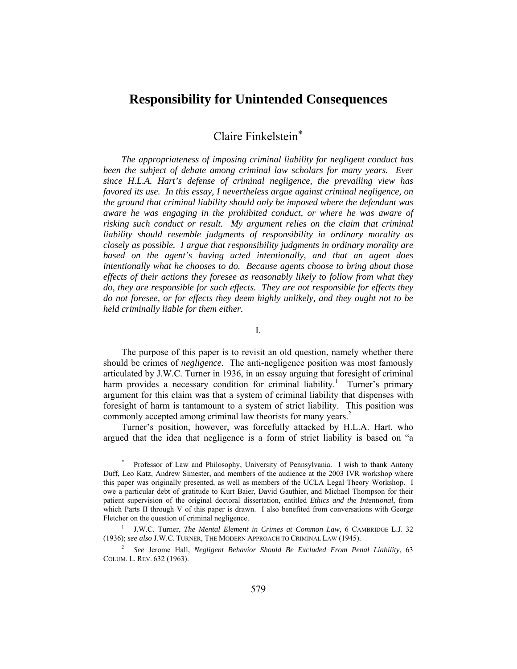## **Responsibility for Unintended Consequences**

Claire Finkelstein[\\*](#page-1-0)

*The appropriateness of imposing criminal liability for negligent conduct has been the subject of debate among criminal law scholars for many years. Ever since H.L.A. Hart's defense of criminal negligence, the prevailing view has favored its use. In this essay, I nevertheless argue against criminal negligence, on the ground that criminal liability should only be imposed where the defendant was aware he was engaging in the prohibited conduct, or where he was aware of risking such conduct or result. My argument relies on the claim that criminal liability should resemble judgments of responsibility in ordinary morality as closely as possible. I argue that responsibility judgments in ordinary morality are based on the agent's having acted intentionally, and that an agent does intentionally what he chooses to do. Because agents choose to bring about those effects of their actions they foresee as reasonably likely to follow from what they do, they are responsible for such effects. They are not responsible for effects they do not foresee, or for effects they deem highly unlikely, and they ought not to be held criminally liable for them either.* 

I.

The purpose of this paper is to revisit an old question, namely whether there should be crimes of *negligence*. The anti-negligence position was most famously articulated by J.W.C. Turner in 1936, in an essay arguing that foresight of criminal harmprovides a necessary condition for criminal liability.<sup>1</sup> Turner's primary argument for this claim was that a system of criminal liability that dispenses with foresight of harm is tantamount to a system of strict liability. This position was commonly accepted among criminal law theorists for many years.<sup>[2](#page-1-2)</sup>

Turner's position, however, was forcefully attacked by H.L.A. Hart, who argued that the idea that negligence is a form of strict liability is based on "a

<span id="page-1-0"></span> <sup>\*</sup> Professor of Law and Philosophy, University of Pennsylvania. I wish to thank Antony Duff, Leo Katz, Andrew Simester, and members of the audience at the 2003 IVR workshop where this paper was originally presented, as well as members of the UCLA Legal Theory Workshop. I owe a particular debt of gratitude to Kurt Baier, David Gauthier, and Michael Thompson for their patient supervision of the original doctoral dissertation, entitled *Ethics and the Intentional*, from which Parts II through V of this paper is drawn. I also benefited from conversations with George Fletcher on the question of criminal negligence.

<span id="page-1-1"></span><sup>1</sup> J.W.C. Turner, *The Mental Element in Crimes at Common Law*, 6 CAMBRIDGE L.J. 32 (1936); *see also* J.W.C. TURNER, THE MODERN APPROACH TO CRIMINAL LAW (1945).

<span id="page-1-2"></span><sup>2</sup> *See* Jerome Hall, *Negligent Behavior Should Be Excluded From Penal Liability*, 63 COLUM. L. REV. 632 (1963).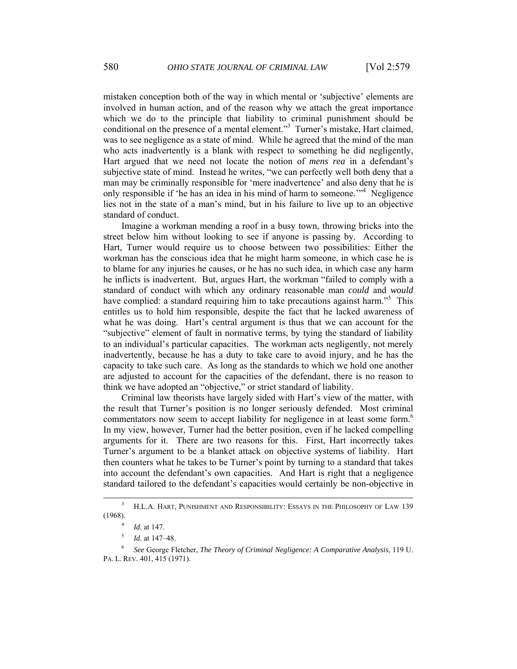mistaken conception both of the way in which mental or 'subjective' elements are involved in human action, and of the reason why we attach the great importance which we do to the principle that liability to criminal punishment should be conditional on the presence of a mental element."[3](#page-2-0) Turner's mistake, Hart claimed, was to see negligence as a state of mind. While he agreed that the mind of the man who acts inadvertently is a blank with respect to something he did negligently, Hart argued that we need not locate the notion of *mens rea* in a defendant's subjective state of mind. Instead he writes, "we can perfectly well both deny that a man may be criminally responsible for 'mere inadvertence' and also deny that he is only responsible if 'he has an idea in his mind of harm to someone."<sup>[4](#page-2-1)</sup> Negligence lies not in the state of a man's mind, but in his failure to live up to an objective standard of conduct.

Imagine a workman mending a roof in a busy town, throwing bricks into the street below him without looking to see if anyone is passing by. According to Hart, Turner would require us to choose between two possibilities: Either the workman has the conscious idea that he might harm someone, in which case he is to blame for any injuries he causes, or he has no such idea, in which case any harm he inflicts is inadvertent. But, argues Hart, the workman "failed to comply with a standard of conduct with which any ordinary reasonable man *could* and *would* have complied: a standard requiring him to take precautions against harm."<sup>[5](#page-2-2)</sup> This entitles us to hold him responsible, despite the fact that he lacked awareness of what he was doing. Hart's central argument is thus that we can account for the "subjective" element of fault in normative terms, by tying the standard of liability to an individual's particular capacities. The workman acts negligently, not merely inadvertently, because he has a duty to take care to avoid injury, and he has the capacity to take such care. As long as the standards to which we hold one another are adjusted to account for the capacities of the defendant, there is no reason to think we have adopted an "objective," or strict standard of liability.

Criminal law theorists have largely sided with Hart's view of the matter, with the result that Turner's position is no longer seriously defended. Most criminal commentators now seem to accept liability for negligence in at least some form.<sup>[6](#page-2-3)</sup> In my view, however, Turner had the better position, even if he lacked compelling arguments for it. There are two reasons for this. First, Hart incorrectly takes Turner's argument to be a blanket attack on objective systems of liability. Hart then counters what he takes to be Turner's point by turning to a standard that takes into account the defendant's own capacities. And Hart is right that a negligence standard tailored to the defendant's capacities would certainly be non-objective in

 $\frac{1}{3}$  H.L.A. HART, PUNISHMENT AND RESPONSIBILITY: ESSAYS IN THE PHILOSOPHY OF LAW 139 (1968).

<span id="page-2-1"></span><span id="page-2-0"></span><sup>4</sup> *Id*. at 147.

<span id="page-2-3"></span><span id="page-2-2"></span><sup>5</sup> *Id.* at 147–48.

<sup>6</sup> *See* George Fletcher, *The Theory of Criminal Negligence: A Comparative Analysis*, 119 U. PA. L. REV. 401, 415 (1971).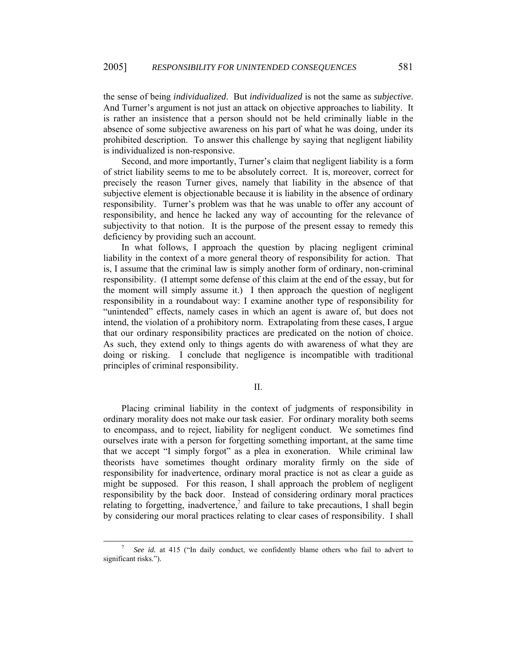the sense of being *individualized*. But *individualized* is not the same as *subjective*. And Turner's argument is not just an attack on objective approaches to liability. It is rather an insistence that a person should not be held criminally liable in the absence of some subjective awareness on his part of what he was doing, under its prohibited description. To answer this challenge by saying that negligent liability is individualized is non-responsive.

Second, and more importantly, Turner's claim that negligent liability is a form of strict liability seems to me to be absolutely correct. It is, moreover, correct for precisely the reason Turner gives, namely that liability in the absence of that subjective element is objectionable because it is liability in the absence of ordinary responsibility. Turner's problem was that he was unable to offer any account of responsibility, and hence he lacked any way of accounting for the relevance of subjectivity to that notion. It is the purpose of the present essay to remedy this deficiency by providing such an account.

In what follows, I approach the question by placing negligent criminal liability in the context of a more general theory of responsibility for action. That is, I assume that the criminal law is simply another form of ordinary, non-criminal responsibility. (I attempt some defense of this claim at the end of the essay, but for the moment will simply assume it.) I then approach the question of negligent responsibility in a roundabout way: I examine another type of responsibility for "unintended" effects, namely cases in which an agent is aware of, but does not intend, the violation of a prohibitory norm. Extrapolating from these cases, I argue that our ordinary responsibility practices are predicated on the notion of choice. As such, they extend only to things agents do with awareness of what they are doing or risking. I conclude that negligence is incompatible with traditional principles of criminal responsibility.

II.

Placing criminal liability in the context of judgments of responsibility in ordinary morality does not make our task easier. For ordinary morality both seems to encompass, and to reject, liability for negligent conduct. We sometimes find ourselves irate with a person for forgetting something important, at the same time that we accept "I simply forgot" as a plea in exoneration. While criminal law theorists have sometimes thought ordinary morality firmly on the side of responsibility for inadvertence, ordinary moral practice is not as clear a guide as might be supposed. For this reason, I shall approach the problem of negligent responsibility by the back door. Instead of considering ordinary moral practices relating to forgetting, inadvertence,<sup>[7](#page-3-0)</sup> and failure to take precautions, I shall begin by considering our moral practices relating to clear cases of responsibility. I shall

<span id="page-3-0"></span> $\overline{7}$  *See id.* at 415 ("In daily conduct, we confidently blame others who fail to advert to significant risks.").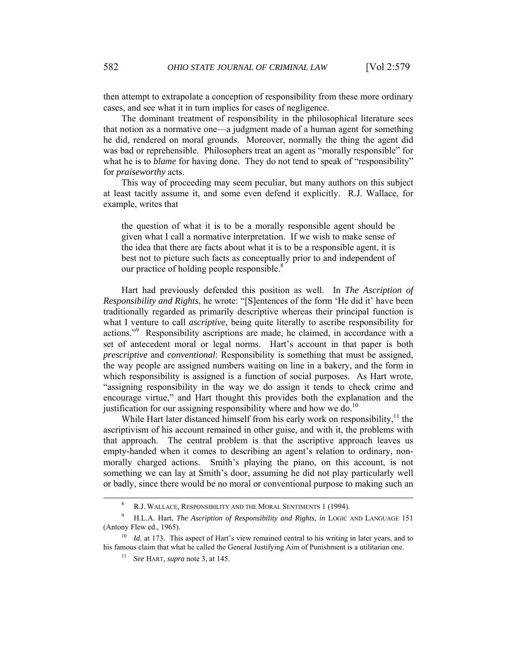then attempt to extrapolate a conception of responsibility from these more ordinary cases, and see what it in turn implies for cases of negligence.

The dominant treatment of responsibility in the philosophical literature sees that notion as a normative one—a judgment made of a human agent for something he did, rendered on moral grounds. Moreover, normally the thing the agent did was bad or reprehensible. Philosophers treat an agent as "morally responsible" for what he is to *blame* for having done. They do not tend to speak of "responsibility" for *praiseworthy* acts.

This way of proceeding may seem peculiar, but many authors on this subject at least tacitly assume it, and some even defend it explicitly. R.J. Wallace, for example, writes that

the question of what it is to be a morally responsible agent should be given what I call a normative interpretation. If we wish to make sense of the idea that there are facts about what it is to be a responsible agent, it is best not to picture such facts as conceptually prior to and independent of our practice of holding people responsible.<sup>[8](#page-4-0)</sup>

Hart had previously defended this position as well. In *The Ascription of Responsibility and Rights*, he wrote: "[S]entences of the form 'He did it' have been traditionally regarded as primarily descriptive whereas their principal function is what I venture to call *ascriptive*, being quite literally to ascribe responsibility for actions."[9](#page-4-1) Responsibility ascriptions are made, he claimed, in accordance with a set of antecedent moral or legal norms. Hart's account in that paper is both *prescriptive* and *conventional*: Responsibility is something that must be assigned, the way people are assigned numbers waiting on line in a bakery, and the form in which responsibility is assigned is a function of social purposes. As Hart wrote, "assigning responsibility in the way we do assign it tends to check crime and encourage virtue," and Hart thought this provides both the explanation and the justification for our assigning responsibility where and how we do.<sup>[10](#page-4-2)</sup>

While Hart later distanced himself from his early work on responsibility, $<sup>11</sup>$  the</sup> ascriptivism of his account remained in other guise, and with it, the problems with that approach. The central problem is that the ascriptive approach leaves us empty-handed when it comes to describing an agent's relation to ordinary, nonmorally charged actions. Smith's playing the piano, on this account, is not something we can lay at Smith's door, assuming he did not play particularly well or badly, since there would be no moral or conventional purpose to making such an

<span id="page-4-0"></span> <sup>8</sup> R.J. WALLACE, RESPONSIBILITY AND THE MORAL SENTIMENTS 1 (1994).

<span id="page-4-1"></span><sup>9</sup> H.L.A. Hart, *The Ascription of Responsibility and Rights*, *in* LOGIC AND LANGUAGE 151 (Antony Flew ed., 1965).

*Id.* at 173. This aspect of Hart's view remained central to his writing in later years, and to his famous claim that what he called the General Justifying Aim of Punishment is a utilitarian one.

<span id="page-4-3"></span><span id="page-4-2"></span><sup>11</sup> *See* HART, *supra* note 3, at 145.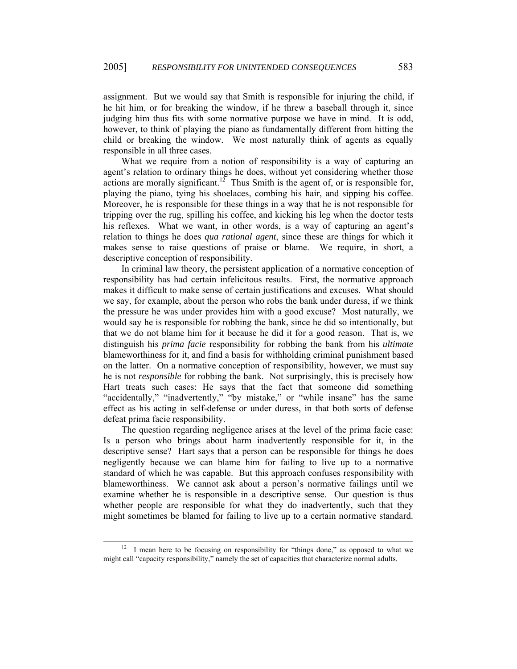assignment. But we would say that Smith is responsible for injuring the child, if he hit him, or for breaking the window, if he threw a baseball through it, since judging him thus fits with some normative purpose we have in mind. It is odd, however, to think of playing the piano as fundamentally different from hitting the child or breaking the window. We most naturally think of agents as equally responsible in all three cases.

What we require from a notion of responsibility is a way of capturing an agent's relation to ordinary things he does, without yet considering whether those actions are morally significant.<sup>12</sup> Thus Smith is the agent of, or is responsible for, playing the piano, tying his shoelaces, combing his hair, and sipping his coffee. Moreover, he is responsible for these things in a way that he is not responsible for tripping over the rug, spilling his coffee, and kicking his leg when the doctor tests his reflexes. What we want, in other words, is a way of capturing an agent's relation to things he does *qua rational agent*, since these are things for which it makes sense to raise questions of praise or blame. We require, in short, a descriptive conception of responsibility.

In criminal law theory, the persistent application of a normative conception of responsibility has had certain infelicitous results. First, the normative approach makes it difficult to make sense of certain justifications and excuses. What should we say, for example, about the person who robs the bank under duress, if we think the pressure he was under provides him with a good excuse? Most naturally, we would say he is responsible for robbing the bank, since he did so intentionally, but that we do not blame him for it because he did it for a good reason. That is, we distinguish his *prima facie* responsibility for robbing the bank from his *ultimate*  blameworthiness for it, and find a basis for withholding criminal punishment based on the latter. On a normative conception of responsibility, however, we must say he is not *responsible* for robbing the bank. Not surprisingly, this is precisely how Hart treats such cases: He says that the fact that someone did something "accidentally," "inadvertently," "by mistake," or "while insane" has the same effect as his acting in self-defense or under duress, in that both sorts of defense defeat prima facie responsibility.

The question regarding negligence arises at the level of the prima facie case: Is a person who brings about harm inadvertently responsible for it, in the descriptive sense? Hart says that a person can be responsible for things he does negligently because we can blame him for failing to live up to a normative standard of which he was capable. But this approach confuses responsibility with blameworthiness. We cannot ask about a person's normative failings until we examine whether he is responsible in a descriptive sense. Our question is thus whether people are responsible for what they do inadvertently, such that they might sometimes be blamed for failing to live up to a certain normative standard.

<span id="page-5-0"></span> $12$  I mean here to be focusing on responsibility for "things done," as opposed to what we might call "capacity responsibility," namely the set of capacities that characterize normal adults.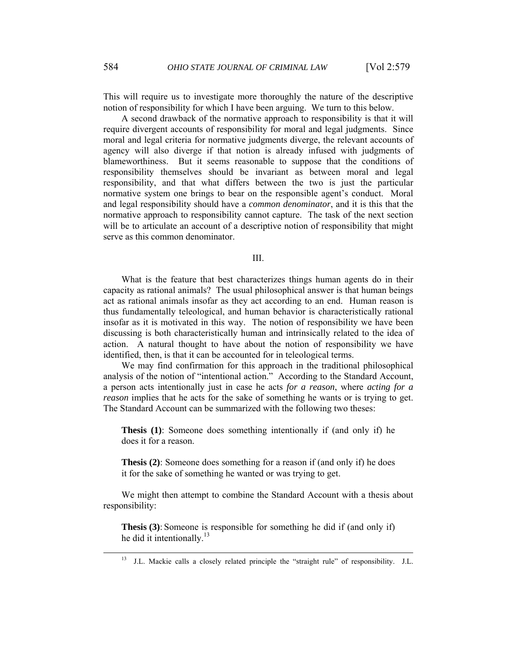This will require us to investigate more thoroughly the nature of the descriptive notion of responsibility for which I have been arguing. We turn to this below.

A second drawback of the normative approach to responsibility is that it will require divergent accounts of responsibility for moral and legal judgments. Since moral and legal criteria for normative judgments diverge, the relevant accounts of agency will also diverge if that notion is already infused with judgments of blameworthiness. But it seems reasonable to suppose that the conditions of responsibility themselves should be invariant as between moral and legal responsibility, and that what differs between the two is just the particular normative system one brings to bear on the responsible agent's conduct. Moral and legal responsibility should have a *common denominator*, and it is this that the normative approach to responsibility cannot capture. The task of the next section will be to articulate an account of a descriptive notion of responsibility that might serve as this common denominator.

### III.

What is the feature that best characterizes things human agents do in their capacity as rational animals? The usual philosophical answer is that human beings act as rational animals insofar as they act according to an end. Human reason is thus fundamentally teleological, and human behavior is characteristically rational insofar as it is motivated in this way. The notion of responsibility we have been discussing is both characteristically human and intrinsically related to the idea of action. A natural thought to have about the notion of responsibility we have identified, then, is that it can be accounted for in teleological terms.

We may find confirmation for this approach in the traditional philosophical analysis of the notion of "intentional action." According to the Standard Account, a person acts intentionally just in case he acts *for a reason*, where *acting for a reason* implies that he acts for the sake of something he wants or is trying to get. The Standard Account can be summarized with the following two theses:

**Thesis (1)**: Someone does something intentionally if (and only if) he does it for a reason.

**Thesis (2)**: Someone does something for a reason if (and only if) he does it for the sake of something he wanted or was trying to get.

We might then attempt to combine the Standard Account with a thesis about responsibility:

**Thesis (3)**: Someone is responsible for something he did if (and only if) he did it intentionally.<sup>13</sup>

<span id="page-6-0"></span> <sup>13</sup> J.L. Mackie calls a closely related principle the "straight rule" of responsibility. J.L.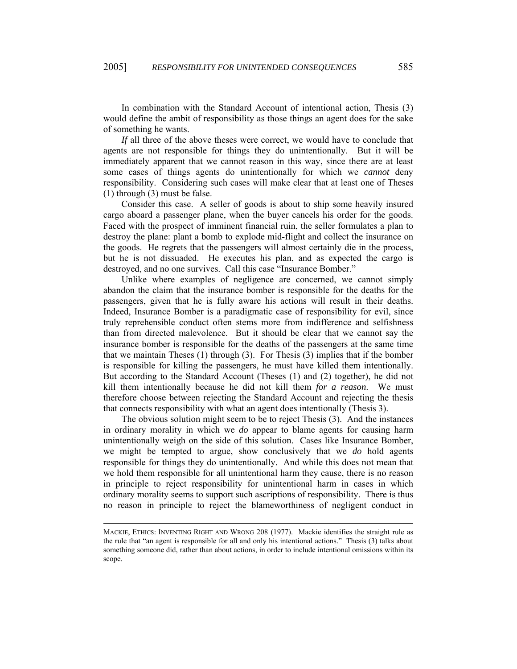In combination with the Standard Account of intentional action, Thesis (3) would define the ambit of responsibility as those things an agent does for the sake of something he wants.

*If* all three of the above theses were correct, we would have to conclude that agents are not responsible for things they do unintentionally. But it will be immediately apparent that we cannot reason in this way, since there are at least some cases of things agents do unintentionally for which we *cannot* deny responsibility. Considering such cases will make clear that at least one of Theses (1) through (3) must be false.

Consider this case. A seller of goods is about to ship some heavily insured cargo aboard a passenger plane, when the buyer cancels his order for the goods. Faced with the prospect of imminent financial ruin, the seller formulates a plan to destroy the plane: plant a bomb to explode mid-flight and collect the insurance on the goods. He regrets that the passengers will almost certainly die in the process, but he is not dissuaded. He executes his plan, and as expected the cargo is destroyed, and no one survives. Call this case "Insurance Bomber."

Unlike where examples of negligence are concerned, we cannot simply abandon the claim that the insurance bomber is responsible for the deaths for the passengers, given that he is fully aware his actions will result in their deaths. Indeed, Insurance Bomber is a paradigmatic case of responsibility for evil, since truly reprehensible conduct often stems more from indifference and selfishness than from directed malevolence. But it should be clear that we cannot say the insurance bomber is responsible for the deaths of the passengers at the same time that we maintain Theses (1) through (3). For Thesis (3) implies that if the bomber is responsible for killing the passengers, he must have killed them intentionally. But according to the Standard Account (Theses (1) and (2) together), he did not kill them intentionally because he did not kill them *for a reason*. We must therefore choose between rejecting the Standard Account and rejecting the thesis that connects responsibility with what an agent does intentionally (Thesis 3).

The obvious solution might seem to be to reject Thesis (3). And the instances in ordinary morality in which we *do* appear to blame agents for causing harm unintentionally weigh on the side of this solution. Cases like Insurance Bomber, we might be tempted to argue, show conclusively that we *do* hold agents responsible for things they do unintentionally. And while this does not mean that we hold them responsible for all unintentional harm they cause, there is no reason in principle to reject responsibility for unintentional harm in cases in which ordinary morality seems to support such ascriptions of responsibility. There is thus no reason in principle to reject the blameworthiness of negligent conduct in

l

MACKIE, ETHICS: INVENTING RIGHT AND WRONG 208 (1977). Mackie identifies the straight rule as the rule that "an agent is responsible for all and only his intentional actions." Thesis (3) talks about something someone did, rather than about actions, in order to include intentional omissions within its scope.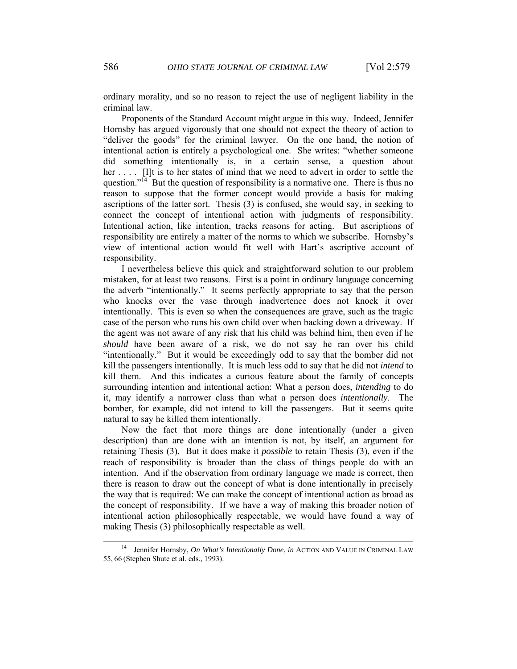ordinary morality, and so no reason to reject the use of negligent liability in the criminal law.

Proponents of the Standard Account might argue in this way. Indeed, Jennifer Hornsby has argued vigorously that one should not expect the theory of action to "deliver the goods" for the criminal lawyer. On the one hand, the notion of intentional action is entirely a psychological one. She writes: "whether someone did something intentionally is, in a certain sense, a question about her . . . . [I]t is to her states of mind that we need to advert in order to settle the question."<sup>14</sup> But the question of responsibility is a normative one. There is thus no reason to suppose that the former concept would provide a basis for making ascriptions of the latter sort. Thesis (3) is confused, she would say, in seeking to connect the concept of intentional action with judgments of responsibility. Intentional action, like intention, tracks reasons for acting. But ascriptions of responsibility are entirely a matter of the norms to which we subscribe. Hornsby's view of intentional action would fit well with Hart's ascriptive account of responsibility.

I nevertheless believe this quick and straightforward solution to our problem mistaken, for at least two reasons. First is a point in ordinary language concerning the adverb "intentionally." It seems perfectly appropriate to say that the person who knocks over the vase through inadvertence does not knock it over intentionally. This is even so when the consequences are grave, such as the tragic case of the person who runs his own child over when backing down a driveway. If the agent was not aware of any risk that his child was behind him, then even if he *should* have been aware of a risk, we do not say he ran over his child "intentionally." But it would be exceedingly odd to say that the bomber did not kill the passengers intentionally. It is much less odd to say that he did not *intend* to kill them. And this indicates a curious feature about the family of concepts surrounding intention and intentional action: What a person does, *intending* to do it, may identify a narrower class than what a person does *intentionally*. The bomber, for example, did not intend to kill the passengers. But it seems quite natural to say he killed them intentionally.

Now the fact that more things are done intentionally (under a given description) than are done with an intention is not, by itself, an argument for retaining Thesis (3). But it does make it *possible* to retain Thesis (3), even if the reach of responsibility is broader than the class of things people do with an intention. And if the observation from ordinary language we made is correct, then there is reason to draw out the concept of what is done intentionally in precisely the way that is required: We can make the concept of intentional action as broad as the concept of responsibility. If we have a way of making this broader notion of intentional action philosophically respectable, we would have found a way of making Thesis (3) philosophically respectable as well.

<span id="page-8-0"></span> <sup>14</sup> Jennifer Hornsby, *On What's Intentionally Done*, *in* ACTION AND VALUE IN CRIMINAL LAW 55, 66 (Stephen Shute et al. eds., 1993).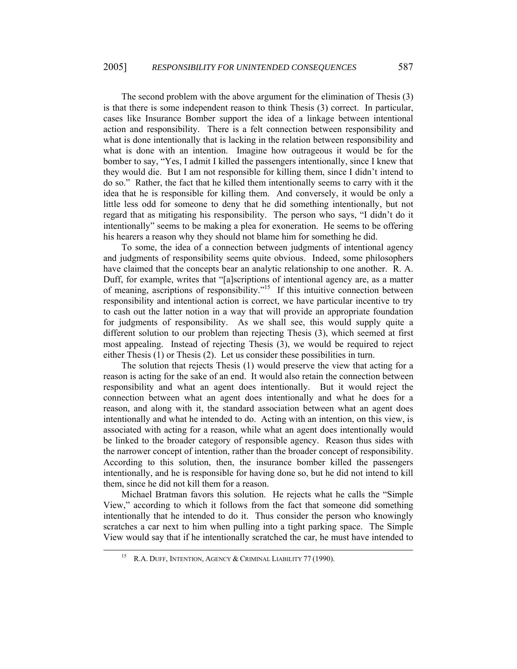The second problem with the above argument for the elimination of Thesis (3) is that there is some independent reason to think Thesis (3) correct. In particular, cases like Insurance Bomber support the idea of a linkage between intentional action and responsibility. There is a felt connection between responsibility and what is done intentionally that is lacking in the relation between responsibility and what is done with an intention. Imagine how outrageous it would be for the bomber to say, "Yes, I admit I killed the passengers intentionally, since I knew that they would die. But I am not responsible for killing them, since I didn't intend to do so." Rather, the fact that he killed them intentionally seems to carry with it the idea that he is responsible for killing them. And conversely, it would be only a little less odd for someone to deny that he did something intentionally, but not regard that as mitigating his responsibility. The person who says, "I didn't do it intentionally" seems to be making a plea for exoneration. He seems to be offering his hearers a reason why they should not blame him for something he did.

To some, the idea of a connection between judgments of intentional agency and judgments of responsibility seems quite obvious. Indeed, some philosophers have claimed that the concepts bear an analytic relationship to one another. R. A. Duff, for example, writes that "[a]scriptions of intentional agency are, as a matter of meaning, ascriptions of responsibility.["15](#page-9-0) If this intuitive connection between responsibility and intentional action is correct, we have particular incentive to try to cash out the latter notion in a way that will provide an appropriate foundation for judgments of responsibility. As we shall see, this would supply quite a different solution to our problem than rejecting Thesis (3), which seemed at first most appealing. Instead of rejecting Thesis (3), we would be required to reject either Thesis (1) or Thesis (2). Let us consider these possibilities in turn.

The solution that rejects Thesis (1) would preserve the view that acting for a reason is acting for the sake of an end. It would also retain the connection between responsibility and what an agent does intentionally. But it would reject the connection between what an agent does intentionally and what he does for a reason, and along with it, the standard association between what an agent does intentionally and what he intended to do. Acting with an intention, on this view, is associated with acting for a reason, while what an agent does intentionally would be linked to the broader category of responsible agency. Reason thus sides with the narrower concept of intention, rather than the broader concept of responsibility. According to this solution, then, the insurance bomber killed the passengers intentionally, and he is responsible for having done so, but he did not intend to kill them, since he did not kill them for a reason.

Michael Bratman favors this solution. He rejects what he calls the "Simple View," according to which it follows from the fact that someone did something intentionally that he intended to do it. Thus consider the person who knowingly scratches a car next to him when pulling into a tight parking space. The Simple View would say that if he intentionally scratched the car, he must have intended to

<span id="page-9-0"></span>R.A. DUFF, INTENTION, AGENCY & CRIMINAL LIABILITY 77 (1990).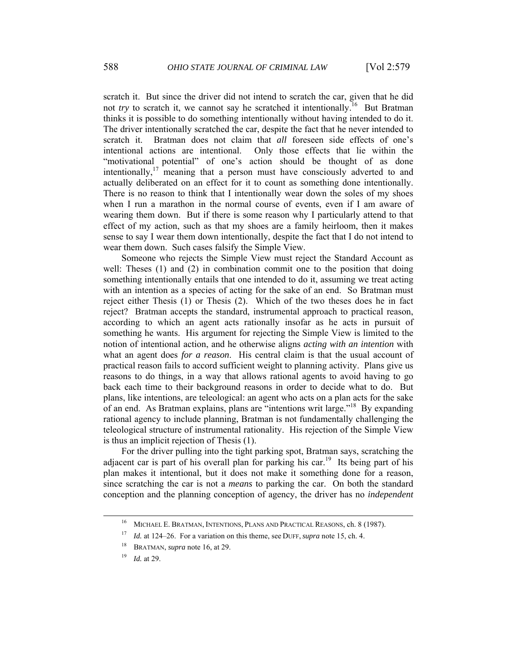scratch it. But since the driver did not intend to scratch the car, given that he did not *try* to scratch it, we cannot say he scratched it intentionally.<sup>16</sup> But Bratman thinks it is possible to do something intentionally without having intended to do it. The driver intentionally scratched the car, despite the fact that he never intended to scratch it. Bratman does not claim that *all* foreseen side effects of one's intentional actions are intentional. Only those effects that lie within the "motivational potential" of one's action should be thought of as done intentionally,  $17$  meaning that a person must have consciously adverted to and actually deliberated on an effect for it to count as something done intentionally. There is no reason to think that I intentionally wear down the soles of my shoes when I run a marathon in the normal course of events, even if I am aware of wearing them down. But if there is some reason why I particularly attend to that effect of my action, such as that my shoes are a family heirloom, then it makes sense to say I wear them down intentionally, despite the fact that I do not intend to wear them down. Such cases falsify the Simple View.

Someone who rejects the Simple View must reject the Standard Account as well: Theses (1) and (2) in combination commit one to the position that doing something intentionally entails that one intended to do it, assuming we treat acting with an intention as a species of acting for the sake of an end. So Bratman must reject either Thesis (1) or Thesis (2). Which of the two theses does he in fact reject? Bratman accepts the standard, instrumental approach to practical reason, according to which an agent acts rationally insofar as he acts in pursuit of something he wants. His argument for rejecting the Simple View is limited to the notion of intentional action, and he otherwise aligns *acting with an intention* with what an agent does *for a reason*. His central claim is that the usual account of practical reason fails to accord sufficient weight to planning activity. Plans give us reasons to do things, in a way that allows rational agents to avoid having to go back each time to their background reasons in order to decide what to do. But plans, like intentions, are teleological: an agent who acts on a plan acts for the sake of an end. As Bratman explains, plans are "intentions writ large."[18](#page-10-2) By expanding rational agency to include planning, Bratman is not fundamentally challenging the teleological structure of instrumental rationality. His rejection of the Simple View is thus an implicit rejection of Thesis (1).

For the driver pulling into the tight parking spot, Bratman says, scratching the adjacent car is part of his overall plan for parking his car.<sup>19</sup> Its being part of his plan makes it intentional, but it does not make it something done for a reason, since scratching the car is not a *means* to parking the car. On both the standard conception and the planning conception of agency, the driver has no *independent*

<span id="page-10-0"></span> <sup>16</sup> MICHAEL E. BRATMAN, INTENTIONS, PLANS AND PRACTICAL REASONS, ch. 8 (1987).

<span id="page-10-1"></span><sup>17</sup> *Id.* at 124–26. For a variation on this theme, see DUFF, *supra* note 15, ch. 4.

<span id="page-10-2"></span><sup>18</sup> BRATMAN, *supra* note 16, at 29.

<span id="page-10-3"></span><sup>19</sup> *Id.* at 29.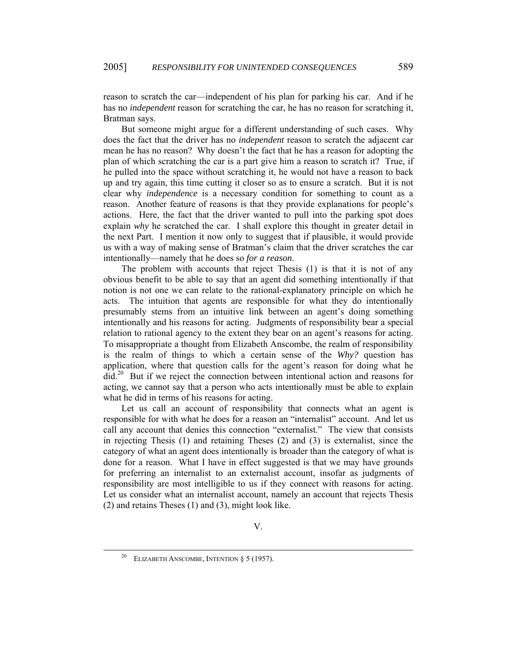reason to scratch the car—independent of his plan for parking his car. And if he has no *independent* reason for scratching the car, he has no reason for scratching it, Bratman says.

But someone might argue for a different understanding of such cases. Why does the fact that the driver has no *independent* reason to scratch the adjacent car mean he has no reason? Why doesn't the fact that he has a reason for adopting the plan of which scratching the car is a part give him a reason to scratch it? True, if he pulled into the space without scratching it, he would not have a reason to back up and try again, this time cutting it closer so as to ensure a scratch. But it is not clear why *independence* is a necessary condition for something to count as a reason. Another feature of reasons is that they provide explanations for people's actions. Here, the fact that the driver wanted to pull into the parking spot does explain *why* he scratched the car. I shall explore this thought in greater detail in the next Part. I mention it now only to suggest that if plausible, it would provide us with a way of making sense of Bratman's claim that the driver scratches the car intentionally—namely that he does so *for a reason*.

The problem with accounts that reject Thesis (1) is that it is not of any obvious benefit to be able to say that an agent did something intentionally if that notion is not one we can relate to the rational-explanatory principle on which he acts. The intuition that agents are responsible for what they do intentionally presumably stems from an intuitive link between an agent's doing something intentionally and his reasons for acting. Judgments of responsibility bear a special relation to rational agency to the extent they bear on an agent's reasons for acting. To misappropriate a thought from Elizabeth Anscombe, the realm of responsibility is the realm of things to which a certain sense of the *Why?* question has application, where that question calls for the agent's reason for doing what he did.[20](#page-11-0) But if we reject the connection between intentional action and reasons for acting, we cannot say that a person who acts intentionally must be able to explain what he did in terms of his reasons for acting.

Let us call an account of responsibility that connects what an agent is responsible for with what he does for a reason an "internalist" account. And let us call any account that denies this connection "externalist." The view that consists in rejecting Thesis (1) and retaining Theses (2) and (3) is externalist, since the category of what an agent does intentionally is broader than the category of what is done for a reason. What I have in effect suggested is that we may have grounds for preferring an internalist to an externalist account, insofar as judgments of responsibility are most intelligible to us if they connect with reasons for acting. Let us consider what an internalist account, namely an account that rejects Thesis (2) and retains Theses (1) and (3), might look like.

<span id="page-11-0"></span>ELIZABETH ANSCOMBE, INTENTION § 5 (1957).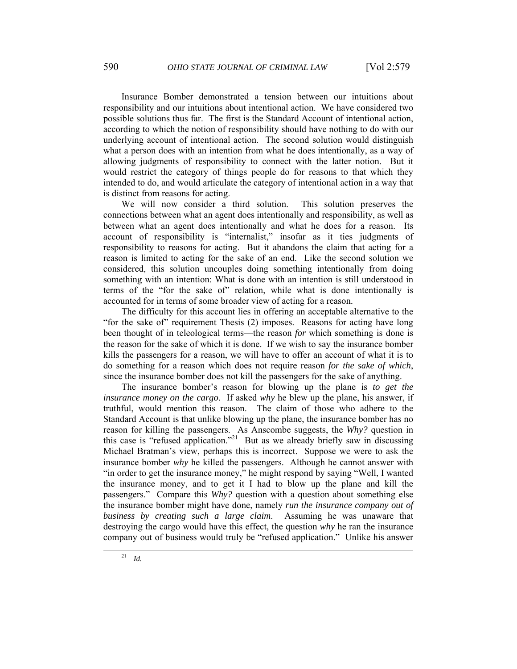Insurance Bomber demonstrated a tension between our intuitions about responsibility and our intuitions about intentional action. We have considered two possible solutions thus far. The first is the Standard Account of intentional action, according to which the notion of responsibility should have nothing to do with our underlying account of intentional action. The second solution would distinguish what a person does with an intention from what he does intentionally, as a way of allowing judgments of responsibility to connect with the latter notion. But it would restrict the category of things people do for reasons to that which they intended to do, and would articulate the category of intentional action in a way that is distinct from reasons for acting.

We will now consider a third solution. This solution preserves the connections between what an agent does intentionally and responsibility, as well as between what an agent does intentionally and what he does for a reason. Its account of responsibility is "internalist," insofar as it ties judgments of responsibility to reasons for acting. But it abandons the claim that acting for a reason is limited to acting for the sake of an end. Like the second solution we considered, this solution uncouples doing something intentionally from doing something with an intention: What is done with an intention is still understood in terms of the "for the sake of" relation, while what is done intentionally is accounted for in terms of some broader view of acting for a reason.

The difficulty for this account lies in offering an acceptable alternative to the "for the sake of" requirement Thesis (2) imposes. Reasons for acting have long been thought of in teleological terms—the reason *for* which something is done is the reason for the sake of which it is done. If we wish to say the insurance bomber kills the passengers for a reason, we will have to offer an account of what it is to do something for a reason which does not require reason *for the sake of which*, since the insurance bomber does not kill the passengers for the sake of anything.

<span id="page-12-0"></span>The insurance bomber's reason for blowing up the plane is *to get the insurance money on the cargo*. If asked *why* he blew up the plane, his answer, if truthful, would mention this reason. The claim of those who adhere to the Standard Account is that unlike blowing up the plane, the insurance bomber has no reason for killing the passengers. As Anscombe suggests, the *Why?* question in this case is "refused application."<sup>21</sup> But as we already briefly saw in discussing Michael Bratman's view, perhaps this is incorrect. Suppose we were to ask the insurance bomber *why* he killed the passengers. Although he cannot answer with "in order to get the insurance money," he might respond by saying "Well, I wanted the insurance money, and to get it I had to blow up the plane and kill the passengers." Compare this *Why?* question with a question about something else the insurance bomber might have done, namely *run the insurance company out of business by creating such a large claim*. Assuming he was unaware that destroying the cargo would have this effect, the question *why* he ran the insurance company out of business would truly be "refused application." Unlike his answer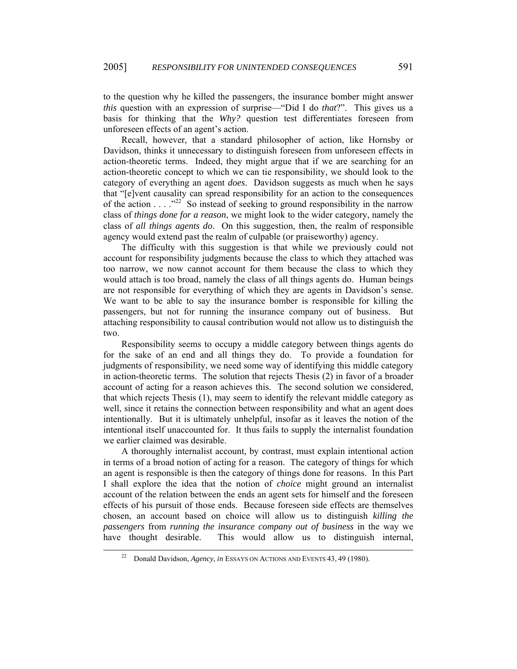to the question why he killed the passengers, the insurance bomber might answer *this* question with an expression of surprise—"Did I do *that*?". This gives us a basis for thinking that the *Why?* question test differentiates foreseen from unforeseen effects of an agent's action.

Recall, however, that a standard philosopher of action, like Hornsby or Davidson, thinks it unnecessary to distinguish foreseen from unforeseen effects in action-theoretic terms. Indeed, they might argue that if we are searching for an action-theoretic concept to which we can tie responsibility, we should look to the category of everything an agent *does*. Davidson suggests as much when he says that "[e]vent causality can spread responsibility for an action to the consequences of the action . . . ."[22](#page-13-0) So instead of seeking to ground responsibility in the narrow class of *things done for a reason*, we might look to the wider category, namely the class of *all things agents do*. On this suggestion, then, the realm of responsible agency would extend past the realm of culpable (or praiseworthy) agency.

The difficulty with this suggestion is that while we previously could not account for responsibility judgments because the class to which they attached was too narrow, we now cannot account for them because the class to which they would attach is too broad, namely the class of all things agents do. Human beings are not responsible for everything of which they are agents in Davidson's sense. We want to be able to say the insurance bomber is responsible for killing the passengers, but not for running the insurance company out of business. But attaching responsibility to causal contribution would not allow us to distinguish the two.

Responsibility seems to occupy a middle category between things agents do for the sake of an end and all things they do. To provide a foundation for judgments of responsibility, we need some way of identifying this middle category in action-theoretic terms. The solution that rejects Thesis (2) in favor of a broader account of acting for a reason achieves this. The second solution we considered, that which rejects Thesis (1), may seem to identify the relevant middle category as well, since it retains the connection between responsibility and what an agent does intentionally. But it is ultimately unhelpful, insofar as it leaves the notion of the intentional itself unaccounted for. It thus fails to supply the internalist foundation we earlier claimed was desirable.

A thoroughly internalist account, by contrast, must explain intentional action in terms of a broad notion of acting for a reason. The category of things for which an agent is responsible is then the category of things done for reasons. In this Part I shall explore the idea that the notion of *choice* might ground an internalist account of the relation between the ends an agent sets for himself and the foreseen effects of his pursuit of those ends. Because foreseen side effects are themselves chosen, an account based on choice will allow us to distinguish *killing the passengers* from *running the insurance company out of business* in the way we have thought desirable. This would allow us to distinguish internal,

<span id="page-13-0"></span> <sup>22</sup> Donald Davidson, *Agency*, *in* ESSAYS ON ACTIONS AND EVENTS 43, 49 (1980).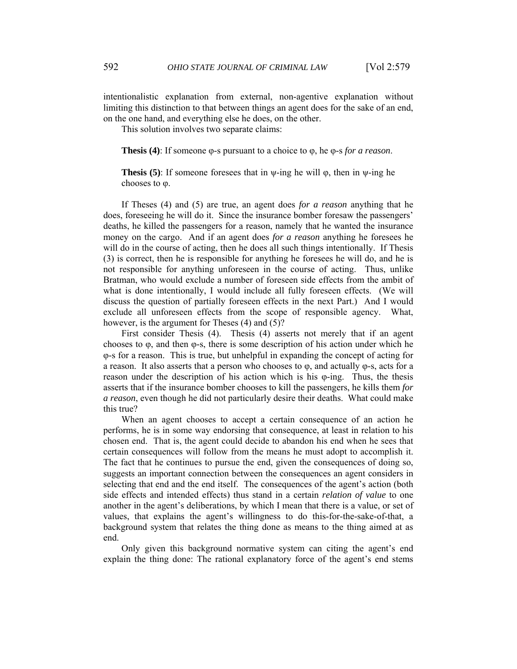intentionalistic explanation from external, non-agentive explanation without limiting this distinction to that between things an agent does for the sake of an end, on the one hand, and everything else he does, on the other.

This solution involves two separate claims:

**Thesis (4)**: If someone φ-s pursuant to a choice to φ, he φ-s *for a reason*.

**Thesis (5)**: If someone foresees that in  $\psi$ -ing he will  $\varphi$ , then in  $\psi$ -ing he chooses to φ.

If Theses (4) and (5) are true, an agent does *for a reason* anything that he does, foreseeing he will do it. Since the insurance bomber foresaw the passengers' deaths, he killed the passengers for a reason, namely that he wanted the insurance money on the cargo. And if an agent does *for a reason* anything he foresees he will do in the course of acting, then he does all such things intentionally. If Thesis (3) is correct, then he is responsible for anything he foresees he will do, and he is not responsible for anything unforeseen in the course of acting. Thus, unlike Bratman, who would exclude a number of foreseen side effects from the ambit of what is done intentionally, I would include all fully foreseen effects. (We will discuss the question of partially foreseen effects in the next Part.) And I would exclude all unforeseen effects from the scope of responsible agency. What, however, is the argument for Theses (4) and (5)?

First consider Thesis (4). Thesis (4) asserts not merely that if an agent chooses to  $\varphi$ , and then  $\varphi$ -s, there is some description of his action under which he φ-s for a reason. This is true, but unhelpful in expanding the concept of acting for a reason. It also asserts that a person who chooses to φ, and actually φ-s, acts for a reason under the description of his action which is his φ-ing. Thus, the thesis asserts that if the insurance bomber chooses to kill the passengers, he kills them *for a reason*, even though he did not particularly desire their deaths. What could make this true?

When an agent chooses to accept a certain consequence of an action he performs, he is in some way endorsing that consequence, at least in relation to his chosen end. That is, the agent could decide to abandon his end when he sees that certain consequences will follow from the means he must adopt to accomplish it. The fact that he continues to pursue the end, given the consequences of doing so, suggests an important connection between the consequences an agent considers in selecting that end and the end itself. The consequences of the agent's action (both side effects and intended effects) thus stand in a certain *relation of value* to one another in the agent's deliberations, by which I mean that there is a value, or set of values, that explains the agent's willingness to do this-for-the-sake-of-that, a background system that relates the thing done as means to the thing aimed at as end.

Only given this background normative system can citing the agent's end explain the thing done: The rational explanatory force of the agent's end stems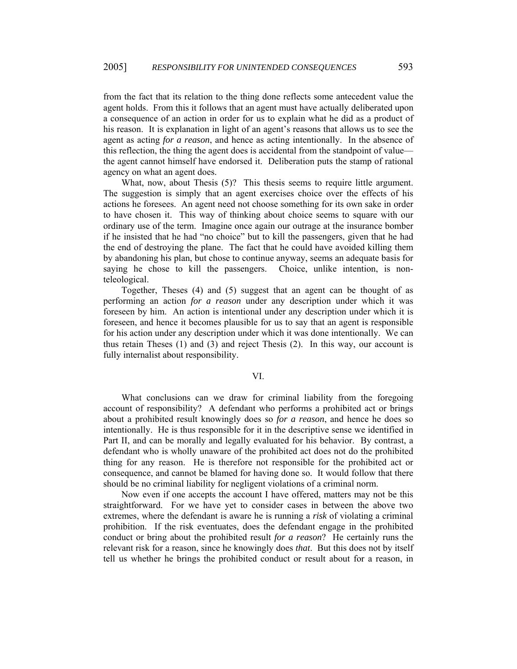from the fact that its relation to the thing done reflects some antecedent value the agent holds. From this it follows that an agent must have actually deliberated upon a consequence of an action in order for us to explain what he did as a product of his reason. It is explanation in light of an agent's reasons that allows us to see the agent as acting *for a reason*, and hence as acting intentionally. In the absence of this reflection, the thing the agent does is accidental from the standpoint of value the agent cannot himself have endorsed it. Deliberation puts the stamp of rational agency on what an agent does.

What, now, about Thesis (5)? This thesis seems to require little argument. The suggestion is simply that an agent exercises choice over the effects of his actions he foresees. An agent need not choose something for its own sake in order to have chosen it. This way of thinking about choice seems to square with our ordinary use of the term. Imagine once again our outrage at the insurance bomber if he insisted that he had "no choice" but to kill the passengers, given that he had the end of destroying the plane. The fact that he could have avoided killing them by abandoning his plan, but chose to continue anyway, seems an adequate basis for saying he chose to kill the passengers. Choice, unlike intention, is nonteleological.

Together, Theses (4) and (5) suggest that an agent can be thought of as performing an action *for a reason* under any description under which it was foreseen by him. An action is intentional under any description under which it is foreseen, and hence it becomes plausible for us to say that an agent is responsible for his action under any description under which it was done intentionally. We can thus retain Theses (1) and (3) and reject Thesis (2). In this way, our account is fully internalist about responsibility.

### VI.

What conclusions can we draw for criminal liability from the foregoing account of responsibility? A defendant who performs a prohibited act or brings about a prohibited result knowingly does so *for a reason*, and hence he does so intentionally. He is thus responsible for it in the descriptive sense we identified in Part II, and can be morally and legally evaluated for his behavior. By contrast, a defendant who is wholly unaware of the prohibited act does not do the prohibited thing for any reason. He is therefore not responsible for the prohibited act or consequence, and cannot be blamed for having done so. It would follow that there should be no criminal liability for negligent violations of a criminal norm.

Now even if one accepts the account I have offered, matters may not be this straightforward. For we have yet to consider cases in between the above two extremes, where the defendant is aware he is running a *risk* of violating a criminal prohibition. If the risk eventuates, does the defendant engage in the prohibited conduct or bring about the prohibited result *for a reason*? He certainly runs the relevant risk for a reason, since he knowingly does *that*. But this does not by itself tell us whether he brings the prohibited conduct or result about for a reason, in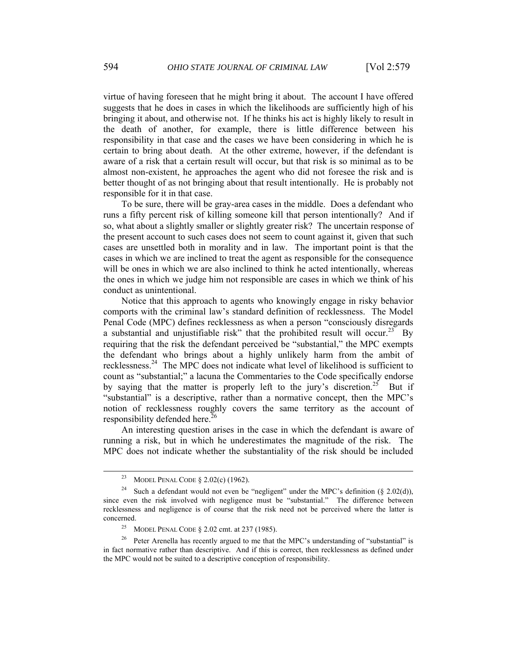virtue of having foreseen that he might bring it about. The account I have offered suggests that he does in cases in which the likelihoods are sufficiently high of his bringing it about, and otherwise not. If he thinks his act is highly likely to result in the death of another, for example, there is little difference between his responsibility in that case and the cases we have been considering in which he is certain to bring about death. At the other extreme, however, if the defendant is aware of a risk that a certain result will occur, but that risk is so minimal as to be almost non-existent, he approaches the agent who did not foresee the risk and is better thought of as not bringing about that result intentionally. He is probably not responsible for it in that case.

To be sure, there will be gray-area cases in the middle. Does a defendant who runs a fifty percent risk of killing someone kill that person intentionally? And if so, what about a slightly smaller or slightly greater risk? The uncertain response of the present account to such cases does not seem to count against it, given that such cases are unsettled both in morality and in law. The important point is that the cases in which we are inclined to treat the agent as responsible for the consequence will be ones in which we are also inclined to think he acted intentionally, whereas the ones in which we judge him not responsible are cases in which we think of his conduct as unintentional.

Notice that this approach to agents who knowingly engage in risky behavior comports with the criminal law's standard definition of recklessness. The Model Penal Code (MPC) defines recklessness as when a person "consciously disregards a substantial and unjustifiable risk" that the prohibited result will occur.<sup>23</sup> By requiring that the risk the defendant perceived be "substantial," the MPC exempts the defendant who brings about a highly unlikely harm from the ambit of recklessness.[24](#page-16-1) The MPC does not indicate what level of likelihood is sufficient to count as "substantial;" a lacuna the Commentaries to the Code specifically endorse by saying that the matter is properly left to the jury's discretion.<sup>25</sup> But if "substantial" is a descriptive, rather than a normative concept, then the MPC's notion of recklessness roughly covers the same territory as the account of responsibility defended here.<sup>[26](#page-16-3)</sup>

An interesting question arises in the case in which the defendant is aware of running a risk, but in which he underestimates the magnitude of the risk. The MPC does not indicate whether the substantiality of the risk should be included

<span id="page-16-1"></span><span id="page-16-0"></span><sup>&</sup>lt;sup>23</sup> MODEL PENAL CODE  $\S$  2.02(c) (1962).

<sup>&</sup>lt;sup>24</sup> Such a defendant would not even be "negligent" under the MPC's definition ( $\S$  2.02(d)), since even the risk involved with negligence must be "substantial." The difference between recklessness and negligence is of course that the risk need not be perceived where the latter is concerned.

<span id="page-16-3"></span><span id="page-16-2"></span><sup>25</sup> MODEL PENAL CODE § 2.02 cmt. at 237 (1985).

<sup>&</sup>lt;sup>26</sup> Peter Arenella has recently argued to me that the MPC's understanding of "substantial" is in fact normative rather than descriptive. And if this is correct, then recklessness as defined under the MPC would not be suited to a descriptive conception of responsibility.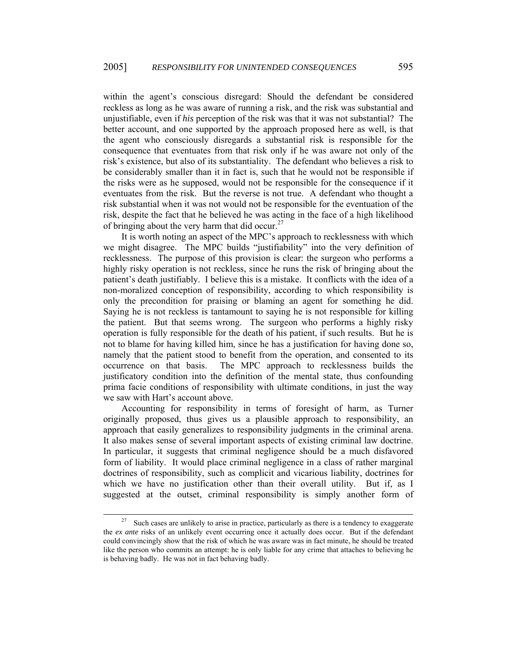within the agent's conscious disregard: Should the defendant be considered reckless as long as he was aware of running a risk, and the risk was substantial and unjustifiable, even if *his* perception of the risk was that it was not substantial? The better account, and one supported by the approach proposed here as well, is that the agent who consciously disregards a substantial risk is responsible for the consequence that eventuates from that risk only if he was aware not only of the risk's existence, but also of its substantiality. The defendant who believes a risk to be considerably smaller than it in fact is, such that he would not be responsible if the risks were as he supposed, would not be responsible for the consequence if it eventuates from the risk. But the reverse is not true. A defendant who thought a risk substantial when it was not would not be responsible for the eventuation of the risk, despite the fact that he believed he was acting in the face of a high likelihood of bringing about the very harm that did occur.<sup>[27](#page-17-0)</sup>

It is worth noting an aspect of the MPC's approach to recklessness with which we might disagree. The MPC builds "justifiability" into the very definition of recklessness. The purpose of this provision is clear: the surgeon who performs a highly risky operation is not reckless, since he runs the risk of bringing about the patient's death justifiably. I believe this is a mistake. It conflicts with the idea of a non-moralized conception of responsibility, according to which responsibility is only the precondition for praising or blaming an agent for something he did. Saying he is not reckless is tantamount to saying he is not responsible for killing the patient. But that seems wrong. The surgeon who performs a highly risky operation is fully responsible for the death of his patient, if such results. But he is not to blame for having killed him, since he has a justification for having done so, namely that the patient stood to benefit from the operation, and consented to its occurrence on that basis. The MPC approach to recklessness builds the justificatory condition into the definition of the mental state, thus confounding prima facie conditions of responsibility with ultimate conditions, in just the way we saw with Hart's account above.

Accounting for responsibility in terms of foresight of harm, as Turner originally proposed, thus gives us a plausible approach to responsibility, an approach that easily generalizes to responsibility judgments in the criminal arena. It also makes sense of several important aspects of existing criminal law doctrine. In particular, it suggests that criminal negligence should be a much disfavored form of liability. It would place criminal negligence in a class of rather marginal doctrines of responsibility, such as complicit and vicarious liability, doctrines for which we have no justification other than their overall utility. But if, as I suggested at the outset, criminal responsibility is simply another form of

<span id="page-17-0"></span><sup>&</sup>lt;sup>27</sup> Such cases are unlikely to arise in practice, particularly as there is a tendency to exaggerate the *ex ante* risks of an unlikely event occurring once it actually does occur. But if the defendant could convincingly show that the risk of which he was aware was in fact minute, he should be treated like the person who commits an attempt: he is only liable for any crime that attaches to believing he is behaving badly. He was not in fact behaving badly.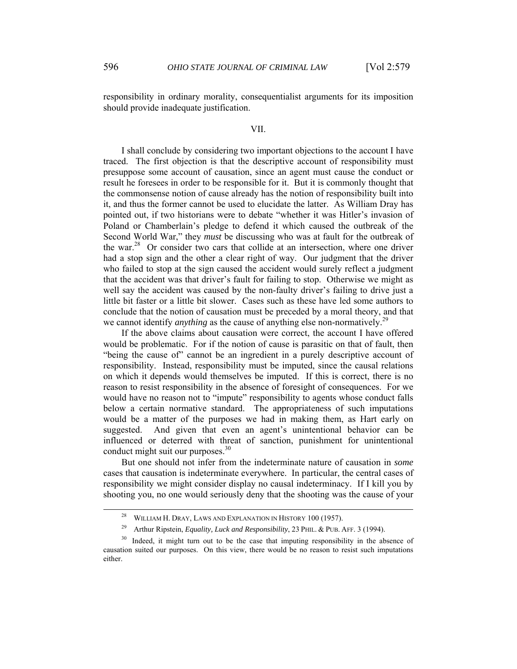responsibility in ordinary morality, consequentialist arguments for its imposition should provide inadequate justification.

### VII.

I shall conclude by considering two important objections to the account I have traced. The first objection is that the descriptive account of responsibility must presuppose some account of causation, since an agent must cause the conduct or result he foresees in order to be responsible for it. But it is commonly thought that the commonsense notion of cause already has the notion of responsibility built into it, and thus the former cannot be used to elucidate the latter. As William Dray has pointed out, if two historians were to debate "whether it was Hitler's invasion of Poland or Chamberlain's pledge to defend it which caused the outbreak of the Second World War," they *must* be discussing who was at fault for the outbreak of the war.[28](#page-18-0) Or consider two cars that collide at an intersection, where one driver had a stop sign and the other a clear right of way. Our judgment that the driver who failed to stop at the sign caused the accident would surely reflect a judgment that the accident was that driver's fault for failing to stop. Otherwise we might as well say the accident was caused by the non-faulty driver's failing to drive just a little bit faster or a little bit slower. Cases such as these have led some authors to conclude that the notion of causation must be preceded by a moral theory, and that we cannot identify *anything* as the cause of anything else non-normatively.<sup>[29](#page-18-1)</sup>

If the above claims about causation were correct, the account I have offered would be problematic. For if the notion of cause is parasitic on that of fault, then "being the cause of" cannot be an ingredient in a purely descriptive account of responsibility. Instead, responsibility must be imputed, since the causal relations on which it depends would themselves be imputed. If this is correct, there is no reason to resist responsibility in the absence of foresight of consequences. For we would have no reason not to "impute" responsibility to agents whose conduct falls below a certain normative standard. The appropriateness of such imputations would be a matter of the purposes we had in making them, as Hart early on suggested. And given that even an agent's unintentional behavior can be influenced or deterred with threat of sanction, punishment for unintentional conduct might suit our purposes.<sup>[30](#page-18-2)</sup>

But one should not infer from the indeterminate nature of causation in *some* cases that causation is indeterminate everywhere. In particular, the central cases of responsibility we might consider display no causal indeterminacy. If I kill you by shooting you, no one would seriously deny that the shooting was the cause of your

<span id="page-18-0"></span>WILLIAM H. DRAY, LAWS AND EXPLANATION IN HISTORY 100 (1957).

<span id="page-18-2"></span><span id="page-18-1"></span><sup>&</sup>lt;sup>29</sup> Arthur Ripstein, *Equality, Luck and Responsibility*, 23 PHIL. & PUB. AFF. 3 (1994).

Indeed, it might turn out to be the case that imputing responsibility in the absence of causation suited our purposes. On this view, there would be no reason to resist such imputations either.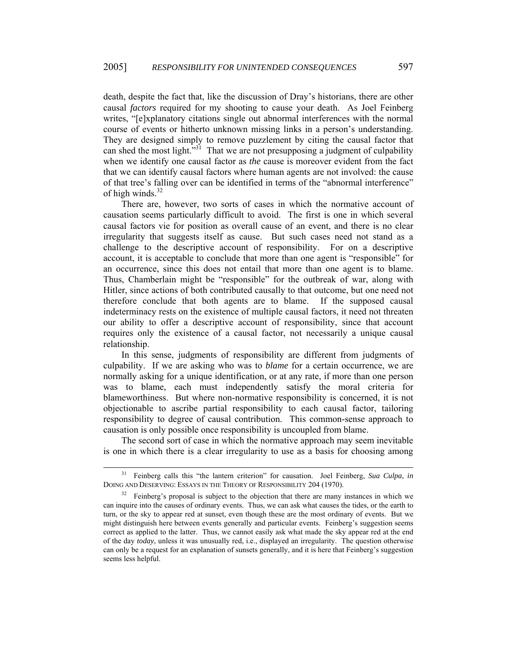death, despite the fact that, like the discussion of Dray's historians, there are other causal *factors* required for my shooting to cause your death. As Joel Feinberg writes, "[e]xplanatory citations single out abnormal interferences with the normal course of events or hitherto unknown missing links in a person's understanding. They are designed simply to remove puzzlement by citing the causal factor that can shed the most light.<sup>531</sup> That we are not presupposing a judgment of culpability when we identify one causal factor as *the* cause is moreover evident from the fact that we can identify causal factors where human agents are not involved: the cause of that tree's falling over can be identified in terms of the "abnormal interference" of high winds. $32$ 

There are, however, two sorts of cases in which the normative account of causation seems particularly difficult to avoid. The first is one in which several causal factors vie for position as overall cause of an event, and there is no clear irregularity that suggests itself as cause. But such cases need not stand as a challenge to the descriptive account of responsibility. For on a descriptive account, it is acceptable to conclude that more than one agent is "responsible" for an occurrence, since this does not entail that more than one agent is to blame. Thus, Chamberlain might be "responsible" for the outbreak of war, along with Hitler, since actions of both contributed causally to that outcome, but one need not therefore conclude that both agents are to blame. If the supposed causal indeterminacy rests on the existence of multiple causal factors, it need not threaten our ability to offer a descriptive account of responsibility, since that account requires only the existence of a causal factor, not necessarily a unique causal relationship.

In this sense, judgments of responsibility are different from judgments of culpability. If we are asking who was to *blame* for a certain occurrence, we are normally asking for a unique identification, or at any rate, if more than one person was to blame, each must independently satisfy the moral criteria for blameworthiness. But where non-normative responsibility is concerned, it is not objectionable to ascribe partial responsibility to each causal factor, tailoring responsibility to degree of causal contribution. This common-sense approach to causation is only possible once responsibility is uncoupled from blame.

The second sort of case in which the normative approach may seem inevitable is one in which there is a clear irregularity to use as a basis for choosing among

<span id="page-19-0"></span> <sup>31</sup> Feinberg calls this "the lantern criterion" for causation. Joel Feinberg, *Sua Culpa*, *in* DOING AND DESERVING: ESSAYS IN THE THEORY OF RESPONSIBILITY 204 (1970).

<span id="page-19-1"></span> $32$  Feinberg's proposal is subject to the objection that there are many instances in which we can inquire into the causes of ordinary events. Thus, we can ask what causes the tides, or the earth to turn, or the sky to appear red at sunset, even though these are the most ordinary of events. But we might distinguish here between events generally and particular events. Feinberg's suggestion seems correct as applied to the latter. Thus, we cannot easily ask what made the sky appear red at the end of the day *today*, unless it was unusually red, i.e., displayed an irregularity. The question otherwise can only be a request for an explanation of sunsets generally, and it is here that Feinberg's suggestion seems less helpful.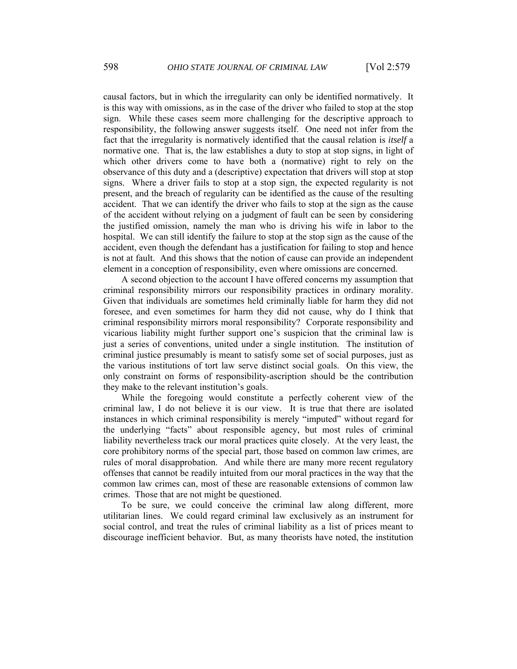causal factors, but in which the irregularity can only be identified normatively. It is this way with omissions, as in the case of the driver who failed to stop at the stop sign. While these cases seem more challenging for the descriptive approach to responsibility, the following answer suggests itself. One need not infer from the fact that the irregularity is normatively identified that the causal relation is *itself* a normative one. That is, the law establishes a duty to stop at stop signs, in light of which other drivers come to have both a (normative) right to rely on the observance of this duty and a (descriptive) expectation that drivers will stop at stop signs. Where a driver fails to stop at a stop sign, the expected regularity is not present, and the breach of regularity can be identified as the cause of the resulting accident. That we can identify the driver who fails to stop at the sign as the cause of the accident without relying on a judgment of fault can be seen by considering the justified omission, namely the man who is driving his wife in labor to the hospital. We can still identify the failure to stop at the stop sign as the cause of the accident, even though the defendant has a justification for failing to stop and hence is not at fault. And this shows that the notion of cause can provide an independent element in a conception of responsibility, even where omissions are concerned.

A second objection to the account I have offered concerns my assumption that criminal responsibility mirrors our responsibility practices in ordinary morality. Given that individuals are sometimes held criminally liable for harm they did not foresee, and even sometimes for harm they did not cause, why do I think that criminal responsibility mirrors moral responsibility? Corporate responsibility and vicarious liability might further support one's suspicion that the criminal law is just a series of conventions, united under a single institution. The institution of criminal justice presumably is meant to satisfy some set of social purposes, just as the various institutions of tort law serve distinct social goals. On this view, the only constraint on forms of responsibility-ascription should be the contribution they make to the relevant institution's goals.

While the foregoing would constitute a perfectly coherent view of the criminal law, I do not believe it is our view. It is true that there are isolated instances in which criminal responsibility is merely "imputed" without regard for the underlying "facts" about responsible agency, but most rules of criminal liability nevertheless track our moral practices quite closely. At the very least, the core prohibitory norms of the special part, those based on common law crimes, are rules of moral disapprobation. And while there are many more recent regulatory offenses that cannot be readily intuited from our moral practices in the way that the common law crimes can, most of these are reasonable extensions of common law crimes. Those that are not might be questioned.

To be sure, we could conceive the criminal law along different, more utilitarian lines. We could regard criminal law exclusively as an instrument for social control, and treat the rules of criminal liability as a list of prices meant to discourage inefficient behavior. But, as many theorists have noted, the institution